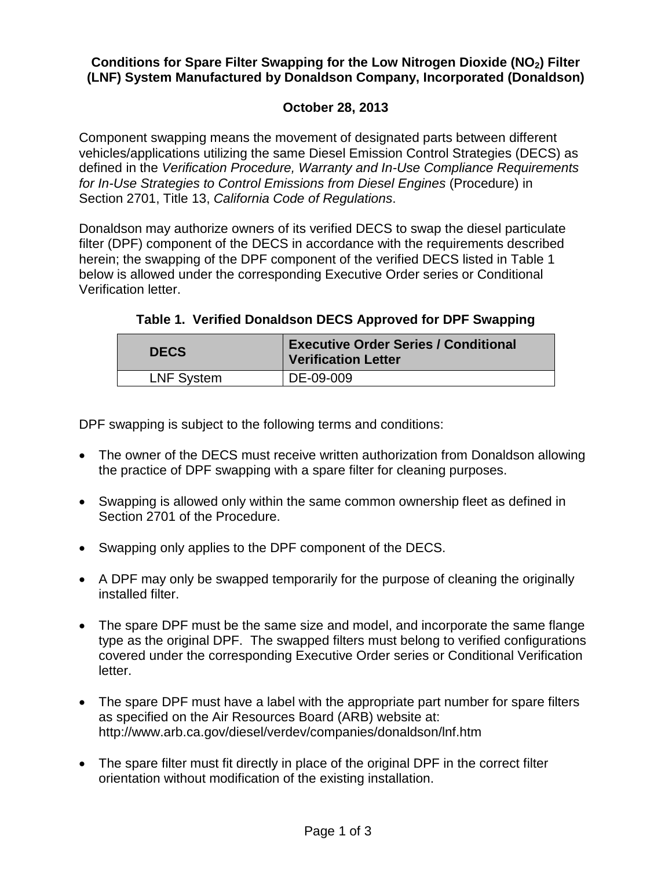## **Conditions for Spare Filter Swapping for the Low Nitrogen Dioxide (NO2) Filter (LNF) System Manufactured by Donaldson Company, Incorporated (Donaldson)**

## **October 28, 2013**

Component swapping means the movement of designated parts between different vehicles/applications utilizing the same Diesel Emission Control Strategies (DECS) as defined in the *Verification Procedure, Warranty and In-Use Compliance Requirements for In-Use Strategies to Control Emissions from Diesel Engines* (Procedure) in Section 2701, Title 13, *California Code of Regulations*.

Donaldson may authorize owners of its verified DECS to swap the diesel particulate filter (DPF) component of the DECS in accordance with the requirements described herein; the swapping of the DPF component of the verified DECS listed in Table 1 below is allowed under the corresponding Executive Order series or Conditional Verification letter.

**Table 1. Verified Donaldson DECS Approved for DPF Swapping**

| <b>Executive Order Series / Conditional</b><br><b>Verification Letter</b> |
|---------------------------------------------------------------------------|
| DE-09-009                                                                 |
|                                                                           |

DPF swapping is subject to the following terms and conditions:

- The owner of the DECS must receive written authorization from Donaldson allowing the practice of DPF swapping with a spare filter for cleaning purposes.
- Swapping is allowed only within the same common ownership fleet as defined in Section 2701 of the Procedure.
- Swapping only applies to the DPF component of the DECS.
- A DPF may only be swapped temporarily for the purpose of cleaning the originally installed filter.
- The spare DPF must be the same size and model, and incorporate the same flange type as the original DPF. The swapped filters must belong to verified configurations covered under the corresponding Executive Order series or Conditional Verification letter.
- The spare DPF must have a label with the appropriate part number for spare filters as specified on the Air Resources Board (ARB) website at: http://www.arb.ca.gov/diesel/verdev/companies/donaldson/lnf.htm
- The spare filter must fit directly in place of the original DPF in the correct filter orientation without modification of the existing installation.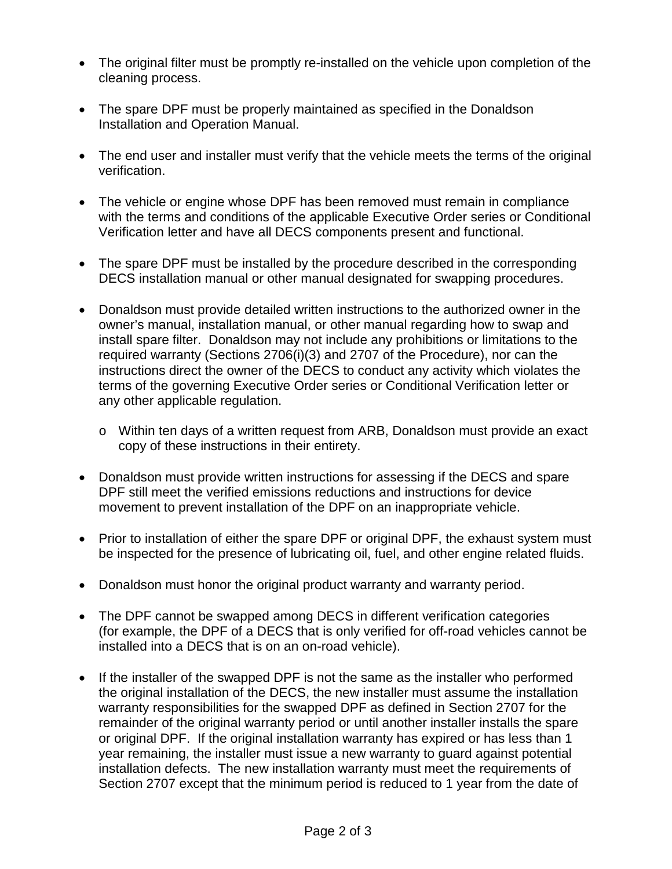- The original filter must be promptly re-installed on the vehicle upon completion of the cleaning process.
- The spare DPF must be properly maintained as specified in the Donaldson Installation and Operation Manual.
- The end user and installer must verify that the vehicle meets the terms of the original verification.
- The vehicle or engine whose DPF has been removed must remain in compliance with the terms and conditions of the applicable Executive Order series or Conditional Verification letter and have all DECS components present and functional.
- The spare DPF must be installed by the procedure described in the corresponding DECS installation manual or other manual designated for swapping procedures.
- Donaldson must provide detailed written instructions to the authorized owner in the owner's manual, installation manual, or other manual regarding how to swap and install spare filter. Donaldson may not include any prohibitions or limitations to the required warranty (Sections 2706(i)(3) and 2707 of the Procedure), nor can the instructions direct the owner of the DECS to conduct any activity which violates the terms of the governing Executive Order series or Conditional Verification letter or any other applicable regulation.
	- o Within ten days of a written request from ARB, Donaldson must provide an exact copy of these instructions in their entirety.
- Donaldson must provide written instructions for assessing if the DECS and spare DPF still meet the verified emissions reductions and instructions for device movement to prevent installation of the DPF on an inappropriate vehicle.
- Prior to installation of either the spare DPF or original DPF, the exhaust system must be inspected for the presence of lubricating oil, fuel, and other engine related fluids.
- Donaldson must honor the original product warranty and warranty period.
- The DPF cannot be swapped among DECS in different verification categories (for example, the DPF of a DECS that is only verified for off-road vehicles cannot be installed into a DECS that is on an on-road vehicle).
- If the installer of the swapped DPF is not the same as the installer who performed the original installation of the DECS, the new installer must assume the installation warranty responsibilities for the swapped DPF as defined in Section 2707 for the remainder of the original warranty period or until another installer installs the spare or original DPF. If the original installation warranty has expired or has less than 1 year remaining, the installer must issue a new warranty to guard against potential installation defects. The new installation warranty must meet the requirements of Section 2707 except that the minimum period is reduced to 1 year from the date of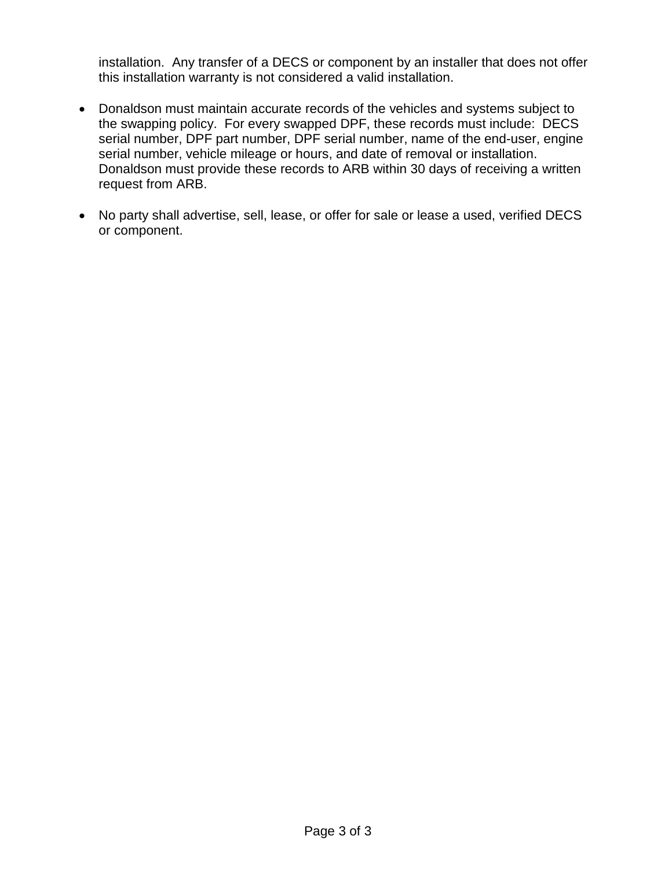installation. Any transfer of a DECS or component by an installer that does not offer this installation warranty is not considered a valid installation.

- Donaldson must maintain accurate records of the vehicles and systems subject to the swapping policy. For every swapped DPF, these records must include: DECS serial number, DPF part number, DPF serial number, name of the end-user, engine serial number, vehicle mileage or hours, and date of removal or installation. Donaldson must provide these records to ARB within 30 days of receiving a written request from ARB.
- No party shall advertise, sell, lease, or offer for sale or lease a used, verified DECS or component.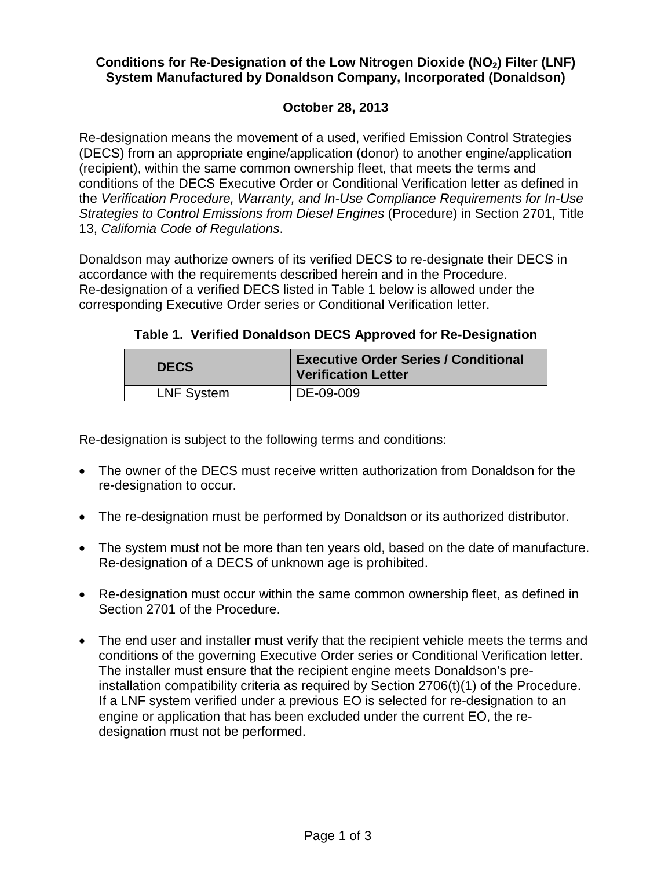## Conditions for Re-Designation of the Low Nitrogen Dioxide (NO<sub>2</sub>) Filter (LNF) **System Manufactured by Donaldson Company, Incorporated (Donaldson)**

## **October 28, 2013**

Re-designation means the movement of a used, verified Emission Control Strategies (DECS) from an appropriate engine/application (donor) to another engine/application (recipient), within the same common ownership fleet, that meets the terms and conditions of the DECS Executive Order or Conditional Verification letter as defined in the *Verification Procedure, Warranty, and In-Use Compliance Requirements for In-Use Strategies to Control Emissions from Diesel Engines* (Procedure) in Section 2701, Title 13, *California Code of Regulations*.

Donaldson may authorize owners of its verified DECS to re-designate their DECS in accordance with the requirements described herein and in the Procedure. Re-designation of a verified DECS listed in Table 1 below is allowed under the corresponding Executive Order series or Conditional Verification letter.

**Table 1. Verified Donaldson DECS Approved for Re-Designation**

| <b>DECS</b>       | <b>Executive Order Series / Conditional</b><br><b>Verification Letter</b> |
|-------------------|---------------------------------------------------------------------------|
| <b>LNF System</b> | DE-09-009                                                                 |

Re-designation is subject to the following terms and conditions:

- The owner of the DECS must receive written authorization from Donaldson for the re-designation to occur.
- The re-designation must be performed by Donaldson or its authorized distributor.
- The system must not be more than ten years old, based on the date of manufacture. Re-designation of a DECS of unknown age is prohibited.
- Re-designation must occur within the same common ownership fleet, as defined in Section 2701 of the Procedure.
- The end user and installer must verify that the recipient vehicle meets the terms and conditions of the governing Executive Order series or Conditional Verification letter. The installer must ensure that the recipient engine meets Donaldson's preinstallation compatibility criteria as required by Section 2706(t)(1) of the Procedure. If a LNF system verified under a previous EO is selected for re-designation to an engine or application that has been excluded under the current EO, the redesignation must not be performed.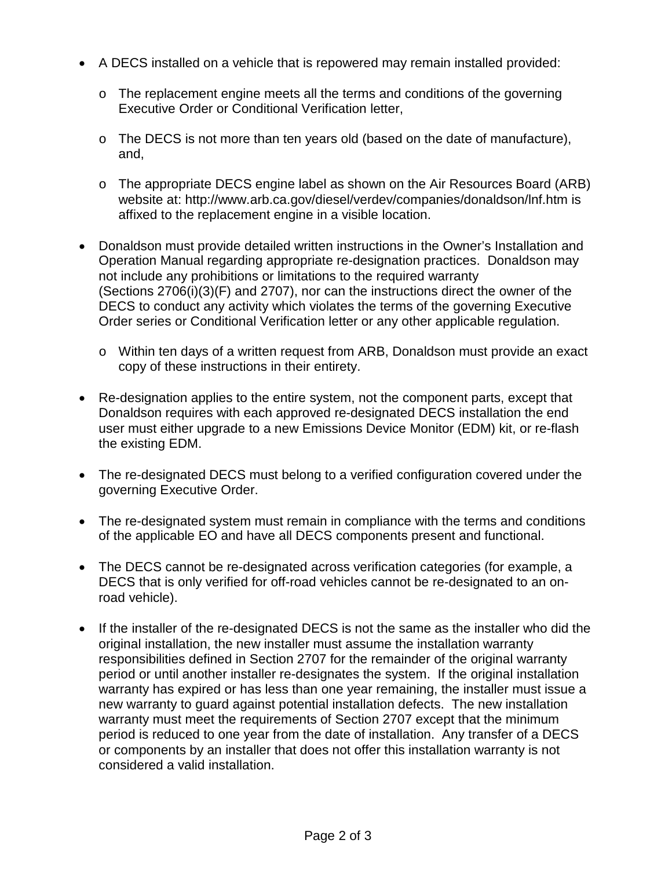- A DECS installed on a vehicle that is repowered may remain installed provided:
	- o The replacement engine meets all the terms and conditions of the governing Executive Order or Conditional Verification letter,
	- o The DECS is not more than ten years old (based on the date of manufacture), and,
	- o The appropriate DECS engine label as shown on the Air Resources Board (ARB) website at: http://www.arb.ca.gov/diesel/verdev/companies/donaldson/lnf.htm is affixed to the replacement engine in a visible location.
- Donaldson must provide detailed written instructions in the Owner's Installation and Operation Manual regarding appropriate re-designation practices. Donaldson may not include any prohibitions or limitations to the required warranty (Sections 2706(i)(3)(F) and 2707), nor can the instructions direct the owner of the DECS to conduct any activity which violates the terms of the governing Executive Order series or Conditional Verification letter or any other applicable regulation.
	- o Within ten days of a written request from ARB, Donaldson must provide an exact copy of these instructions in their entirety.
- Re-designation applies to the entire system, not the component parts, except that Donaldson requires with each approved re-designated DECS installation the end user must either upgrade to a new Emissions Device Monitor (EDM) kit, or re-flash the existing EDM.
- The re-designated DECS must belong to a verified configuration covered under the governing Executive Order.
- The re-designated system must remain in compliance with the terms and conditions of the applicable EO and have all DECS components present and functional.
- The DECS cannot be re-designated across verification categories (for example, a DECS that is only verified for off-road vehicles cannot be re-designated to an onroad vehicle).
- If the installer of the re-designated DECS is not the same as the installer who did the original installation, the new installer must assume the installation warranty responsibilities defined in Section 2707 for the remainder of the original warranty period or until another installer re-designates the system. If the original installation warranty has expired or has less than one year remaining, the installer must issue a new warranty to guard against potential installation defects. The new installation warranty must meet the requirements of Section 2707 except that the minimum period is reduced to one year from the date of installation. Any transfer of a DECS or components by an installer that does not offer this installation warranty is not considered a valid installation.